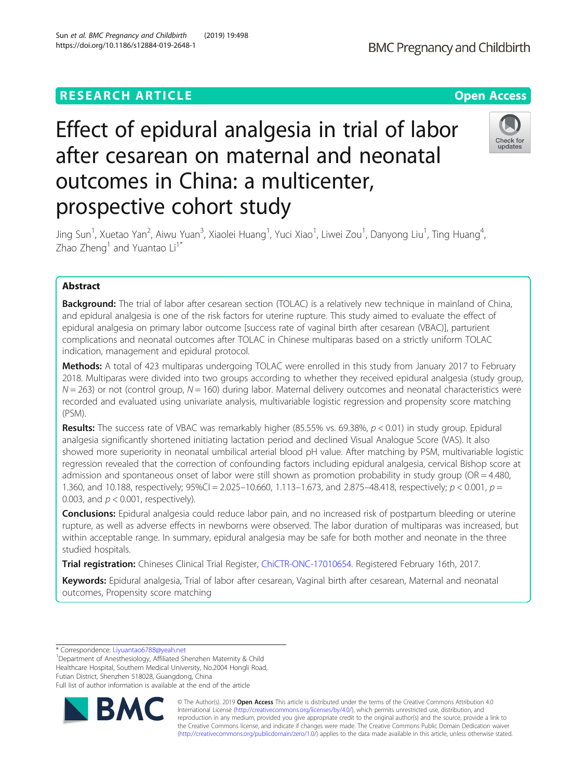## **RESEARCH ARTICLE Example 2014 12:30 The Open Access**

# Effect of epidural analgesia in trial of labor after cesarean on maternal and neonatal outcomes in China: a multicenter, prospective cohort study

Jing Sun<sup>1</sup>, Xuetao Yan<sup>2</sup>, Aiwu Yuan<sup>3</sup>, Xiaolei Huang<sup>1</sup>, Yuci Xiao<sup>1</sup>, Liwei Zou<sup>1</sup>, Danyong Liu<sup>1</sup>, Ting Huang<sup>4</sup> , Zhao Zheng<sup>1</sup> and Yuantao  $Li<sup>1*</sup>$ 

## Abstract

**Background:** The trial of labor after cesarean section (TOLAC) is a relatively new technique in mainland of China, and epidural analgesia is one of the risk factors for uterine rupture. This study aimed to evaluate the effect of epidural analgesia on primary labor outcome [success rate of vaginal birth after cesarean (VBAC)], parturient complications and neonatal outcomes after TOLAC in Chinese multiparas based on a strictly uniform TOLAC indication, management and epidural protocol.

Methods: A total of 423 multiparas undergoing TOLAC were enrolled in this study from January 2017 to February 2018. Multiparas were divided into two groups according to whether they received epidural analgesia (study group,  $N = 263$ ) or not (control group,  $N = 160$ ) during labor. Maternal delivery outcomes and neonatal characteristics were recorded and evaluated using univariate analysis, multivariable logistic regression and propensity score matching (PSM).

**Results:** The success rate of VBAC was remarkably higher (85.55% vs. 69.38%,  $p < 0.01$ ) in study group. Epidural analgesia significantly shortened initiating lactation period and declined Visual Analogue Score (VAS). It also showed more superiority in neonatal umbilical arterial blood pH value. After matching by PSM, multivariable logistic regression revealed that the correction of confounding factors including epidural analgesia, cervical Bishop score at admission and spontaneous onset of labor were still shown as promotion probability in study group (OR = 4.480, 1.360, and 10.188, respectively;  $95\%$ CI = 2.025-10.660, 1.113-1.673, and 2.875-48.418, respectively;  $p < 0.001$ ,  $p =$ 0.003, and  $p < 0.001$ , respectively).

**Conclusions:** Epidural analgesia could reduce labor pain, and no increased risk of postpartum bleeding or uterine rupture, as well as adverse effects in newborns were observed. The labor duration of multiparas was increased, but within acceptable range. In summary, epidural analgesia may be safe for both mother and neonate in the three studied hospitals.

Trial registration: Chineses Clinical Trial Register, [ChiCTR-ONC-17010654.](http://www.chictr.org.cn/showproj.aspx?proj=18036) Registered February 16th, 2017.

Keywords: Epidural analgesia, Trial of labor after cesarean, Vaginal birth after cesarean, Maternal and neonatal outcomes, Propensity score matching

\* Correspondence: [Liyuantao6788@yeah.net](mailto:Liyuantao6788@yeah.net) <sup>1</sup>

<sup>1</sup>Department of Anesthesiology, Affiliated Shenzhen Maternity & Child Healthcare Hospital, Southern Medical University, No.2004 Hongli Road, Futian District, Shenzhen 518028, Guangdong, China Full list of author information is available at the end of the article





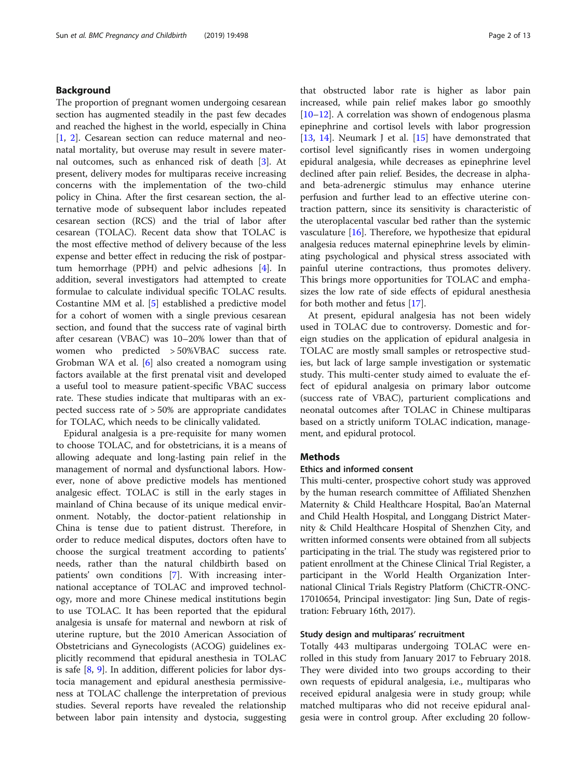## Background

The proportion of pregnant women undergoing cesarean section has augmented steadily in the past few decades and reached the highest in the world, especially in China [[1,](#page-12-0) [2](#page-12-0)]. Cesarean section can reduce maternal and neonatal mortality, but overuse may result in severe maternal outcomes, such as enhanced risk of death [\[3](#page-12-0)]. At present, delivery modes for multiparas receive increasing concerns with the implementation of the two-child policy in China. After the first cesarean section, the alternative mode of subsequent labor includes repeated cesarean section (RCS) and the trial of labor after cesarean (TOLAC). Recent data show that TOLAC is the most effective method of delivery because of the less expense and better effect in reducing the risk of postpartum hemorrhage (PPH) and pelvic adhesions [[4](#page-12-0)]. In addition, several investigators had attempted to create formulae to calculate individual specific TOLAC results. Costantine MM et al. [\[5](#page-12-0)] established a predictive model for a cohort of women with a single previous cesarean section, and found that the success rate of vaginal birth after cesarean (VBAC) was 10–20% lower than that of women who predicted > 50%VBAC success rate. Grobman WA et al. [\[6](#page-12-0)] also created a nomogram using factors available at the first prenatal visit and developed a useful tool to measure patient-specific VBAC success rate. These studies indicate that multiparas with an expected success rate of > 50% are appropriate candidates for TOLAC, which needs to be clinically validated.

Epidural analgesia is a pre-requisite for many women to choose TOLAC, and for obstetricians, it is a means of allowing adequate and long-lasting pain relief in the management of normal and dysfunctional labors. However, none of above predictive models has mentioned analgesic effect. TOLAC is still in the early stages in mainland of China because of its unique medical environment. Notably, the doctor-patient relationship in China is tense due to patient distrust. Therefore, in order to reduce medical disputes, doctors often have to choose the surgical treatment according to patients' needs, rather than the natural childbirth based on patients' own conditions [[7\]](#page-12-0). With increasing international acceptance of TOLAC and improved technology, more and more Chinese medical institutions begin to use TOLAC. It has been reported that the epidural analgesia is unsafe for maternal and newborn at risk of uterine rupture, but the 2010 American Association of Obstetricians and Gynecologists (ACOG) guidelines explicitly recommend that epidural anesthesia in TOLAC is safe [\[8](#page-12-0), [9](#page-12-0)]. In addition, different policies for labor dystocia management and epidural anesthesia permissiveness at TOLAC challenge the interpretation of previous studies. Several reports have revealed the relationship between labor pain intensity and dystocia, suggesting

that obstructed labor rate is higher as labor pain increased, while pain relief makes labor go smoothly [[10](#page-12-0)–[12](#page-12-0)]. A correlation was shown of endogenous plasma epinephrine and cortisol levels with labor progression [[13,](#page-12-0) [14\]](#page-12-0). Neumark J et al. [[15\]](#page-12-0) have demonstrated that cortisol level significantly rises in women undergoing epidural analgesia, while decreases as epinephrine level declined after pain relief. Besides, the decrease in alphaand beta-adrenergic stimulus may enhance uterine perfusion and further lead to an effective uterine contraction pattern, since its sensitivity is characteristic of the uteroplacental vascular bed rather than the systemic vasculature  $[16]$  $[16]$ . Therefore, we hypothesize that epidural analgesia reduces maternal epinephrine levels by eliminating psychological and physical stress associated with painful uterine contractions, thus promotes delivery. This brings more opportunities for TOLAC and emphasizes the low rate of side effects of epidural anesthesia for both mother and fetus [\[17](#page-12-0)].

At present, epidural analgesia has not been widely used in TOLAC due to controversy. Domestic and foreign studies on the application of epidural analgesia in TOLAC are mostly small samples or retrospective studies, but lack of large sample investigation or systematic study. This multi-center study aimed to evaluate the effect of epidural analgesia on primary labor outcome (success rate of VBAC), parturient complications and neonatal outcomes after TOLAC in Chinese multiparas based on a strictly uniform TOLAC indication, management, and epidural protocol.

## **Methods**

## Ethics and informed consent

This multi-center, prospective cohort study was approved by the human research committee of Affiliated Shenzhen Maternity & Child Healthcare Hospital, Bao'an Maternal and Child Health Hospital, and Longgang District Maternity & Child Healthcare Hospital of Shenzhen City, and written informed consents were obtained from all subjects participating in the trial. The study was registered prior to patient enrollment at the Chinese Clinical Trial Register, a participant in the World Health Organization International Clinical Trials Registry Platform (ChiCTR-ONC-17010654, Principal investigator: Jing Sun, Date of registration: February 16th, 2017).

## Study design and multiparas' recruitment

Totally 443 multiparas undergoing TOLAC were enrolled in this study from January 2017 to February 2018. They were divided into two groups according to their own requests of epidural analgesia, i.e., multiparas who received epidural analgesia were in study group; while matched multiparas who did not receive epidural analgesia were in control group. After excluding 20 follow-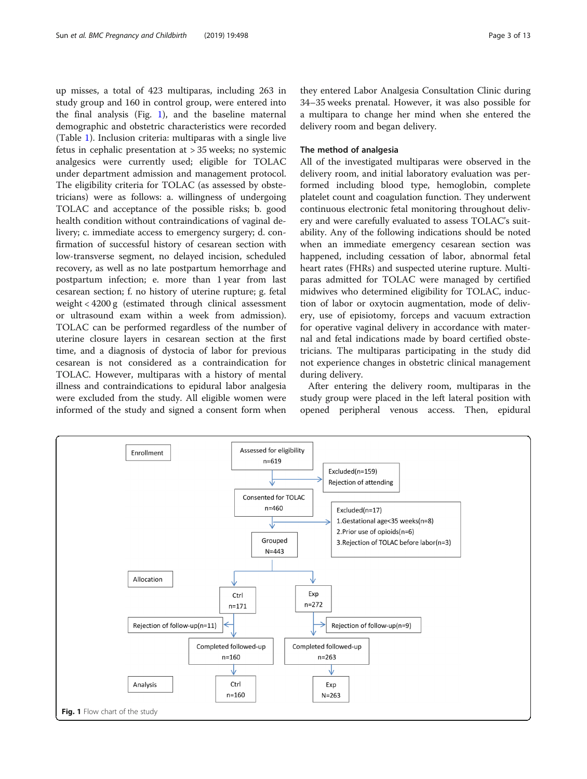<span id="page-2-0"></span>up misses, a total of 423 multiparas, including 263 in study group and 160 in control group, were entered into the final analysis (Fig. 1), and the baseline maternal demographic and obstetric characteristics were recorded (Table [1\)](#page-3-0). Inclusion criteria: multiparas with a single live fetus in cephalic presentation at > 35 weeks; no systemic analgesics were currently used; eligible for TOLAC under department admission and management protocol. The eligibility criteria for TOLAC (as assessed by obstetricians) were as follows: a. willingness of undergoing TOLAC and acceptance of the possible risks; b. good health condition without contraindications of vaginal delivery; c. immediate access to emergency surgery; d. confirmation of successful history of cesarean section with low-transverse segment, no delayed incision, scheduled recovery, as well as no late postpartum hemorrhage and postpartum infection; e. more than 1 year from last cesarean section; f. no history of uterine rupture; g. fetal weight < 4200 g (estimated through clinical assessment or ultrasound exam within a week from admission). TOLAC can be performed regardless of the number of uterine closure layers in cesarean section at the first time, and a diagnosis of dystocia of labor for previous cesarean is not considered as a contraindication for TOLAC. However, multiparas with a history of mental illness and contraindications to epidural labor analgesia were excluded from the study. All eligible women were informed of the study and signed a consent form when

they entered Labor Analgesia Consultation Clinic during 34–35 weeks prenatal. However, it was also possible for a multipara to change her mind when she entered the delivery room and began delivery.

#### The method of analgesia

All of the investigated multiparas were observed in the delivery room, and initial laboratory evaluation was performed including blood type, hemoglobin, complete platelet count and coagulation function. They underwent continuous electronic fetal monitoring throughout delivery and were carefully evaluated to assess TOLAC's suitability. Any of the following indications should be noted when an immediate emergency cesarean section was happened, including cessation of labor, abnormal fetal heart rates (FHRs) and suspected uterine rupture. Multiparas admitted for TOLAC were managed by certified midwives who determined eligibility for TOLAC, induction of labor or oxytocin augmentation, mode of delivery, use of episiotomy, forceps and vacuum extraction for operative vaginal delivery in accordance with maternal and fetal indications made by board certified obstetricians. The multiparas participating in the study did not experience changes in obstetric clinical management during delivery.

After entering the delivery room, multiparas in the study group were placed in the left lateral position with opened peripheral venous access. Then, epidural

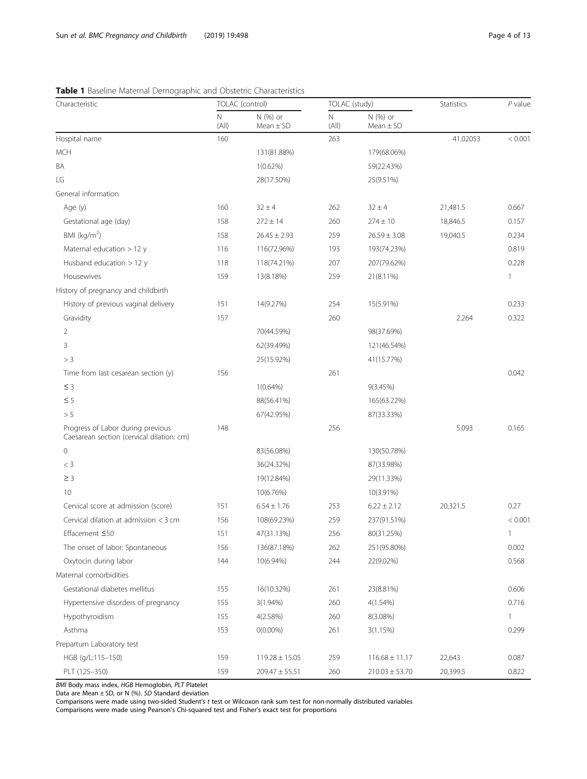## <span id="page-3-0"></span>Table 1 Baseline Maternal Demographic and Obstetric Characteristics

| N (%) or<br>N (%) or<br>N<br>N<br>(A  )<br>(A  )<br>Mean $\pm$ SD<br>Mean $\pm$ SD<br>Hospital name<br>160<br>263<br>41.02053<br><b>MCH</b><br>131(81.88%)<br>179(68.06%)<br>BA<br>$1(0.62\%)$<br>59(22.43%)<br>LG<br>28(17.50%)<br>25(9.51%)<br>General information<br>Age (y)<br>160<br>$32 \pm 4$<br>262<br>$32 \pm 4$<br>21,481.5<br>0.667<br>Gestational age (day)<br>158<br>$272 \pm 14$<br>260<br>$274 \pm 10$<br>18,846.5<br>0.157<br>BMI ( $kg/m2$ )<br>$26.45 \pm 2.93$<br>19,040.5<br>0.234<br>158<br>259<br>$26.59 \pm 3.08$<br>Maternal education > 12 y<br>0.819<br>116<br>116(72.96%)<br>193<br>193(74.23%)<br>Husband education > 12 y<br>0.228<br>118<br>118(74.21%)<br>207<br>207(79.62%)<br>Housewives<br>159<br>259<br>13(8.18%)<br>21(8.11%)<br>$\mathbf{1}$<br>History of pregnancy and childbirth | Characteristic | TOLAC (control) |  | TOLAC (study) |  | Statistics | $P$ value |
|--------------------------------------------------------------------------------------------------------------------------------------------------------------------------------------------------------------------------------------------------------------------------------------------------------------------------------------------------------------------------------------------------------------------------------------------------------------------------------------------------------------------------------------------------------------------------------------------------------------------------------------------------------------------------------------------------------------------------------------------------------------------------------------------------------------------------|----------------|-----------------|--|---------------|--|------------|-----------|
|                                                                                                                                                                                                                                                                                                                                                                                                                                                                                                                                                                                                                                                                                                                                                                                                                          |                |                 |  |               |  |            |           |
|                                                                                                                                                                                                                                                                                                                                                                                                                                                                                                                                                                                                                                                                                                                                                                                                                          |                |                 |  |               |  |            | < 0.001   |
|                                                                                                                                                                                                                                                                                                                                                                                                                                                                                                                                                                                                                                                                                                                                                                                                                          |                |                 |  |               |  |            |           |
|                                                                                                                                                                                                                                                                                                                                                                                                                                                                                                                                                                                                                                                                                                                                                                                                                          |                |                 |  |               |  |            |           |
|                                                                                                                                                                                                                                                                                                                                                                                                                                                                                                                                                                                                                                                                                                                                                                                                                          |                |                 |  |               |  |            |           |
|                                                                                                                                                                                                                                                                                                                                                                                                                                                                                                                                                                                                                                                                                                                                                                                                                          |                |                 |  |               |  |            |           |
|                                                                                                                                                                                                                                                                                                                                                                                                                                                                                                                                                                                                                                                                                                                                                                                                                          |                |                 |  |               |  |            |           |
|                                                                                                                                                                                                                                                                                                                                                                                                                                                                                                                                                                                                                                                                                                                                                                                                                          |                |                 |  |               |  |            |           |
|                                                                                                                                                                                                                                                                                                                                                                                                                                                                                                                                                                                                                                                                                                                                                                                                                          |                |                 |  |               |  |            |           |
|                                                                                                                                                                                                                                                                                                                                                                                                                                                                                                                                                                                                                                                                                                                                                                                                                          |                |                 |  |               |  |            |           |
|                                                                                                                                                                                                                                                                                                                                                                                                                                                                                                                                                                                                                                                                                                                                                                                                                          |                |                 |  |               |  |            |           |
|                                                                                                                                                                                                                                                                                                                                                                                                                                                                                                                                                                                                                                                                                                                                                                                                                          |                |                 |  |               |  |            |           |
|                                                                                                                                                                                                                                                                                                                                                                                                                                                                                                                                                                                                                                                                                                                                                                                                                          |                |                 |  |               |  |            |           |
| History of previous vaginal delivery<br>254<br>0.233<br>151<br>14(9.27%)<br>15(5.91%)                                                                                                                                                                                                                                                                                                                                                                                                                                                                                                                                                                                                                                                                                                                                    |                |                 |  |               |  |            |           |
| 157<br>260<br>2.264<br>0.322<br>Gravidity                                                                                                                                                                                                                                                                                                                                                                                                                                                                                                                                                                                                                                                                                                                                                                                |                |                 |  |               |  |            |           |
| 2<br>70(44.59%)<br>98(37.69%)                                                                                                                                                                                                                                                                                                                                                                                                                                                                                                                                                                                                                                                                                                                                                                                            |                |                 |  |               |  |            |           |
| 3<br>62(39.49%)<br>121(46.54%)                                                                                                                                                                                                                                                                                                                                                                                                                                                                                                                                                                                                                                                                                                                                                                                           |                |                 |  |               |  |            |           |
| > 3<br>25(15.92%)<br>41(15.77%)                                                                                                                                                                                                                                                                                                                                                                                                                                                                                                                                                                                                                                                                                                                                                                                          |                |                 |  |               |  |            |           |
| 261<br>0.042<br>Time from last cesarean section (y)<br>156                                                                                                                                                                                                                                                                                                                                                                                                                                                                                                                                                                                                                                                                                                                                                               |                |                 |  |               |  |            |           |
| $\leq$ 3<br>$1(0.64\%)$<br>9(3.45%)                                                                                                                                                                                                                                                                                                                                                                                                                                                                                                                                                                                                                                                                                                                                                                                      |                |                 |  |               |  |            |           |
| $\leq$ 5<br>88(56.41%)<br>165(63.22%)                                                                                                                                                                                                                                                                                                                                                                                                                                                                                                                                                                                                                                                                                                                                                                                    |                |                 |  |               |  |            |           |
| > 5<br>67(42.95%)<br>87(33.33%)                                                                                                                                                                                                                                                                                                                                                                                                                                                                                                                                                                                                                                                                                                                                                                                          |                |                 |  |               |  |            |           |
| Progress of Labor during previous<br>148<br>256<br>5.093<br>0.165<br>Caesarean section (cervical dilation: cm)                                                                                                                                                                                                                                                                                                                                                                                                                                                                                                                                                                                                                                                                                                           |                |                 |  |               |  |            |           |
| 0<br>83(56.08%)<br>130(50.78%)                                                                                                                                                                                                                                                                                                                                                                                                                                                                                                                                                                                                                                                                                                                                                                                           |                |                 |  |               |  |            |           |
| $<$ 3<br>36(24.32%)<br>87(33.98%)                                                                                                                                                                                                                                                                                                                                                                                                                                                                                                                                                                                                                                                                                                                                                                                        |                |                 |  |               |  |            |           |
| $\geq$ 3<br>19(12.84%)<br>29(11.33%)                                                                                                                                                                                                                                                                                                                                                                                                                                                                                                                                                                                                                                                                                                                                                                                     |                |                 |  |               |  |            |           |
| 10<br>10(6.76%)<br>10(3.91%)                                                                                                                                                                                                                                                                                                                                                                                                                                                                                                                                                                                                                                                                                                                                                                                             |                |                 |  |               |  |            |           |
| 151<br>$6.54 \pm 1.76$<br>20,321.5<br>0.27<br>Cervical score at admission (score)<br>253<br>$6.22 \pm 2.12$                                                                                                                                                                                                                                                                                                                                                                                                                                                                                                                                                                                                                                                                                                              |                |                 |  |               |  |            |           |
| Cervical dilation at admission < 3 cm<br>156<br>108(69.23%)<br>259<br>237(91.51%)                                                                                                                                                                                                                                                                                                                                                                                                                                                                                                                                                                                                                                                                                                                                        |                |                 |  |               |  |            | < 0.001   |
| 151<br>$\mathbb{1}$<br>Effacement ≤50<br>47(31.13%)<br>256<br>80(31.25%)                                                                                                                                                                                                                                                                                                                                                                                                                                                                                                                                                                                                                                                                                                                                                 |                |                 |  |               |  |            |           |
| 156<br>262<br>0.002<br>The onset of labor: Spontaneous<br>136(87.18%)<br>251 (95.80%)                                                                                                                                                                                                                                                                                                                                                                                                                                                                                                                                                                                                                                                                                                                                    |                |                 |  |               |  |            |           |
| Oxytocin during labor<br>144<br>10(6.94%)<br>244<br>22(9.02%)<br>0.568                                                                                                                                                                                                                                                                                                                                                                                                                                                                                                                                                                                                                                                                                                                                                   |                |                 |  |               |  |            |           |
| Maternal comorbidities                                                                                                                                                                                                                                                                                                                                                                                                                                                                                                                                                                                                                                                                                                                                                                                                   |                |                 |  |               |  |            |           |
| Gestational diabetes mellitus<br>155<br>261<br>0.606<br>16(10.32%)<br>23(8.81%)                                                                                                                                                                                                                                                                                                                                                                                                                                                                                                                                                                                                                                                                                                                                          |                |                 |  |               |  |            |           |
| 0.716<br>Hypertensive disorders of pregnancy<br>155<br>260<br>$3(1.94\%)$<br>$4(1.54\%)$                                                                                                                                                                                                                                                                                                                                                                                                                                                                                                                                                                                                                                                                                                                                 |                |                 |  |               |  |            |           |
| 155<br>$\mathbf{1}$<br>Hypothyroidism<br>4(2.58%)<br>260<br>8(3.08%)                                                                                                                                                                                                                                                                                                                                                                                                                                                                                                                                                                                                                                                                                                                                                     |                |                 |  |               |  |            |           |
| Asthma<br>153<br>261<br>0.299<br>$0(0.00\%)$<br>3(1.15%)                                                                                                                                                                                                                                                                                                                                                                                                                                                                                                                                                                                                                                                                                                                                                                 |                |                 |  |               |  |            |           |
| Prepartum Laboratory test                                                                                                                                                                                                                                                                                                                                                                                                                                                                                                                                                                                                                                                                                                                                                                                                |                |                 |  |               |  |            |           |
| 159<br>0.087<br>HGB (g/L:115-150)<br>$119.28 \pm 15.05$<br>259<br>22,643<br>$116.68 \pm 11.17$                                                                                                                                                                                                                                                                                                                                                                                                                                                                                                                                                                                                                                                                                                                           |                |                 |  |               |  |            |           |
| PLT (125-350)<br>159<br>0.822<br>$209.47 \pm 55.51$<br>260<br>$210.03 \pm 53.70$<br>20,399.5                                                                                                                                                                                                                                                                                                                                                                                                                                                                                                                                                                                                                                                                                                                             |                |                 |  |               |  |            |           |

BMI Body mass index, HGB Hemoglobin, PLT Platelet

Data are Mean ± SD, or N (%). SD Standard deviation

Comparisons were made using two-sided Student's t test or Wilcoxon rank sum test for non-normally distributed variables Comparisons were made using Pearson's Chi-squared test and Fisher's exact test for proportions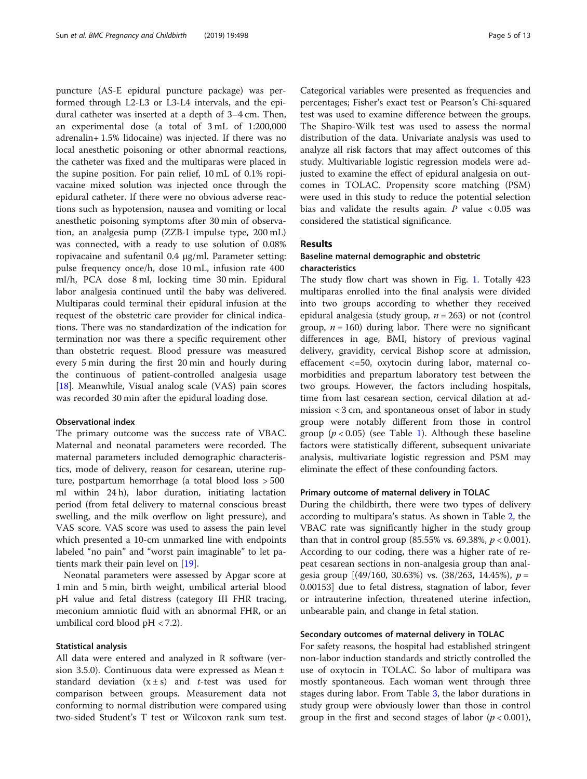puncture (AS-E epidural puncture package) was performed through L2-L3 or L3-L4 intervals, and the epidural catheter was inserted at a depth of 3–4 cm. Then, an experimental dose (a total of 3 mL of 1:200,000 adrenalin+ 1.5% lidocaine) was injected. If there was no local anesthetic poisoning or other abnormal reactions, the catheter was fixed and the multiparas were placed in the supine position. For pain relief, 10 mL of 0.1% ropivacaine mixed solution was injected once through the epidural catheter. If there were no obvious adverse reactions such as hypotension, nausea and vomiting or local anesthetic poisoning symptoms after 30 min of observation, an analgesia pump (ZZB-I impulse type, 200 mL) was connected, with a ready to use solution of 0.08% ropivacaine and sufentanil 0.4 μg/ml. Parameter setting: pulse frequency once/h, dose 10 mL, infusion rate 400 ml/h, PCA dose 8 ml, locking time 30 min. Epidural labor analgesia continued until the baby was delivered. Multiparas could terminal their epidural infusion at the request of the obstetric care provider for clinical indications. There was no standardization of the indication for termination nor was there a specific requirement other than obstetric request. Blood pressure was measured every 5 min during the first 20 min and hourly during the continuous of patient-controlled analgesia usage [[18\]](#page-12-0). Meanwhile, Visual analog scale (VAS) pain scores was recorded 30 min after the epidural loading dose.

## Observational index

The primary outcome was the success rate of VBAC. Maternal and neonatal parameters were recorded. The maternal parameters included demographic characteristics, mode of delivery, reason for cesarean, uterine rupture, postpartum hemorrhage (a total blood loss > 500 ml within 24 h), labor duration, initiating lactation period (from fetal delivery to maternal conscious breast swelling, and the milk overflow on light pressure), and VAS score. VAS score was used to assess the pain level which presented a 10-cm unmarked line with endpoints labeled "no pain" and "worst pain imaginable" to let patients mark their pain level on [[19\]](#page-12-0).

Neonatal parameters were assessed by Apgar score at 1 min and 5 min, birth weight, umbilical arterial blood pH value and fetal distress (category III FHR tracing, meconium amniotic fluid with an abnormal FHR, or an umbilical cord blood  $pH < 7.2$ ).

#### Statistical analysis

All data were entered and analyzed in R software (version 3.5.0). Continuous data were expressed as Mean ± standard deviation  $(x \pm s)$  and *t*-test was used for comparison between groups. Measurement data not conforming to normal distribution were compared using two-sided Student's T test or Wilcoxon rank sum test.

Categorical variables were presented as frequencies and percentages; Fisher's exact test or Pearson's Chi-squared test was used to examine difference between the groups. The Shapiro-Wilk test was used to assess the normal distribution of the data. Univariate analysis was used to analyze all risk factors that may affect outcomes of this study. Multivariable logistic regression models were adjusted to examine the effect of epidural analgesia on outcomes in TOLAC. Propensity score matching (PSM) were used in this study to reduce the potential selection bias and validate the results again. P value  $< 0.05$  was considered the statistical significance.

## Results

## Baseline maternal demographic and obstetric characteristics

The study flow chart was shown in Fig. [1](#page-2-0). Totally 423 multiparas enrolled into the final analysis were divided into two groups according to whether they received epidural analgesia (study group,  $n = 263$ ) or not (control group,  $n = 160$ ) during labor. There were no significant differences in age, BMI, history of previous vaginal delivery, gravidity, cervical Bishop score at admission, effacement <=50, oxytocin during labor, maternal comorbidities and prepartum laboratory test between the two groups. However, the factors including hospitals, time from last cesarean section, cervical dilation at admission < 3 cm, and spontaneous onset of labor in study group were notably different from those in control group ( $p < 0.05$ ) (see Table [1\)](#page-3-0). Although these baseline factors were statistically different, subsequent univariate analysis, multivariate logistic regression and PSM may eliminate the effect of these confounding factors.

## Primary outcome of maternal delivery in TOLAC

During the childbirth, there were two types of delivery according to multipara's status. As shown in Table [2,](#page-5-0) the VBAC rate was significantly higher in the study group than that in control group (85.55% vs. 69.38%,  $p < 0.001$ ). According to our coding, there was a higher rate of repeat cesarean sections in non-analgesia group than analgesia group  $[(49/160, 30.63\%)$  vs.  $(38/263, 14.45\%)$ ,  $p =$ 0.00153] due to fetal distress, stagnation of labor, fever or intrauterine infection, threatened uterine infection, unbearable pain, and change in fetal station.

#### Secondary outcomes of maternal delivery in TOLAC

For safety reasons, the hospital had established stringent non-labor induction standards and strictly controlled the use of oxytocin in TOLAC. So labor of multipara was mostly spontaneous. Each woman went through three stages during labor. From Table [3,](#page-5-0) the labor durations in study group were obviously lower than those in control group in the first and second stages of labor ( $p < 0.001$ ),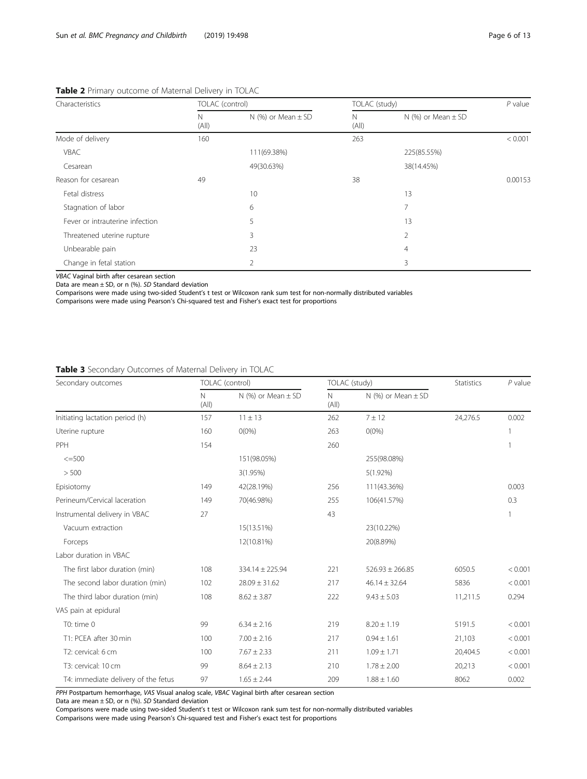## <span id="page-5-0"></span>Table 2 Primary outcome of Maternal Delivery in TOLAC

| Characteristics                 |            | TOLAC (control)        |            | TOLAC (study)          |         |  |
|---------------------------------|------------|------------------------|------------|------------------------|---------|--|
|                                 | N<br>(A  ) | N $(%)$ or Mean $±$ SD | N<br>(A  ) | N (%) or Mean $\pm$ SD |         |  |
| Mode of delivery                | 160        |                        | 263        |                        | < 0.001 |  |
| VBAC                            |            | 111(69.38%)            |            | 225(85.55%)            |         |  |
| Cesarean                        |            | 49(30.63%)             |            | 38(14.45%)             |         |  |
| Reason for cesarean             | 49         |                        | 38         |                        | 0.00153 |  |
| Fetal distress                  |            | 10                     |            | 13                     |         |  |
| Stagnation of labor             |            | 6                      |            |                        |         |  |
| Fever or intrauterine infection |            | 5                      |            | 13                     |         |  |
| Threatened uterine rupture      |            | 3                      |            | 2                      |         |  |
| Unbearable pain                 |            | 23                     |            | 4                      |         |  |
| Change in fetal station         |            | 2                      |            | 3                      |         |  |

VBAC Vaginal birth after cesarean section

Data are mean ± SD, or n (%). SD Standard deviation

Comparisons were made using two-sided Student's t test or Wilcoxon rank sum test for non-normally distributed variables

Comparisons were made using Pearson's Chi-squared test and Fisher's exact test for proportions

## Table 3 Secondary Outcomes of Maternal Delivery in TOLAC

| Secondary outcomes                  |                       | TOLAC (control)          |             | TOLAC (study)          |          | $P$ value |
|-------------------------------------|-----------------------|--------------------------|-------------|------------------------|----------|-----------|
|                                     | $\mathsf{N}$<br>(A  ) | $N$ (%) or Mean $\pm$ SD | N.<br>(A  ) | N $(%)$ or Mean $±$ SD |          |           |
| Initiating lactation period (h)     | 157                   | $11 \pm 13$              | 262         | 7 ± 12                 | 24,276.5 | 0.002     |
| Uterine rupture                     | 160                   | $O(0\%)$                 | 263         | $O(0\%)$               |          |           |
| PPH                                 | 154                   |                          | 260         |                        |          |           |
| $<=500$                             |                       | 151(98.05%)              |             | 255(98.08%)            |          |           |
| > 500                               |                       | 3(1.95%)                 |             | $5(1.92\%)$            |          |           |
| Episiotomy                          | 149                   | 42(28.19%)               | 256         | 111(43.36%)            |          | 0.003     |
| Perineum/Cervical laceration        | 149                   | 70(46.98%)               | 255         | 106(41.57%)            |          | 0.3       |
| Instrumental delivery in VBAC       | 27                    |                          | 43          |                        |          |           |
| Vacuum extraction                   |                       | 15(13.51%)               |             | 23(10.22%)             |          |           |
| Forceps                             |                       | 12(10.81%)               |             | 20(8.89%)              |          |           |
| Labor duration in VBAC              |                       |                          |             |                        |          |           |
| The first labor duration (min)      | 108                   | 334.14 ± 225.94          | 221         | $526.93 \pm 266.85$    | 6050.5   | < 0.001   |
| The second labor duration (min)     | 102                   | $28.09 \pm 31.62$        | 217         | $46.14 \pm 32.64$      | 5836     | < 0.001   |
| The third labor duration (min)      | 108                   | $8.62 \pm 3.87$          | 222         | $9.43 \pm 5.03$        | 11,211.5 | 0.294     |
| VAS pain at epidural                |                       |                          |             |                        |          |           |
| T0: time 0                          | 99                    | $6.34 \pm 2.16$          | 219         | $8.20 \pm 1.19$        | 5191.5   | < 0.001   |
| T1: PCEA after 30 min               | 100                   | $7.00 \pm 2.16$          | 217         | $0.94 \pm 1.61$        | 21,103   | < 0.001   |
| T2: cervical: 6 cm                  | 100                   | $7.67 \pm 2.33$          | 211         | $1.09 \pm 1.71$        | 20,404.5 | < 0.001   |
| T3: cervical: 10 cm                 | 99                    | $8.64 \pm 2.13$          | 210         | $1.78 \pm 2.00$        | 20,213   | < 0.001   |
| T4: immediate delivery of the fetus | 97                    | $1.65 \pm 2.44$          | 209         | $1.88 \pm 1.60$        | 8062     | 0.002     |

PPH Postpartum hemorrhage, VAS Visual analog scale, VBAC Vaginal birth after cesarean section

Data are mean  $\pm$  SD, or n (%). SD Standard deviation

Comparisons were made using two-sided Student's t test or Wilcoxon rank sum test for non-normally distributed variables

Comparisons were made using Pearson's Chi-squared test and Fisher's exact test for proportions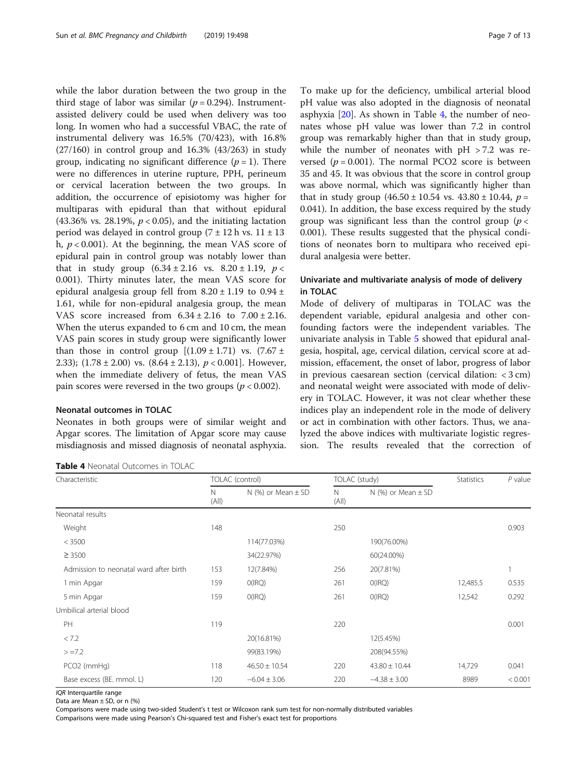while the labor duration between the two group in the third stage of labor was similar ( $p = 0.294$ ). Instrumentassisted delivery could be used when delivery was too long. In women who had a successful VBAC, the rate of instrumental delivery was 16.5% (70/423), with 16.8% (27/160) in control group and 16.3% (43/263) in study group, indicating no significant difference  $(p = 1)$ . There were no differences in uterine rupture, PPH, perineum or cervical laceration between the two groups. In addition, the occurrence of episiotomy was higher for multiparas with epidural than that without epidural (43.36% vs. 28.19%,  $p < 0.05$ ), and the initiating lactation period was delayed in control group  $(7 \pm 12 \text{ h} \text{ vs. } 11 \pm 13)$ h,  $p < 0.001$ ). At the beginning, the mean VAS score of epidural pain in control group was notably lower than that in study group  $(6.34 \pm 2.16 \text{ vs. } 8.20 \pm 1.19, p <$ 0.001). Thirty minutes later, the mean VAS score for epidural analgesia group fell from  $8.20 \pm 1.19$  to  $0.94 \pm 1.19$ 1.61, while for non-epidural analgesia group, the mean VAS score increased from  $6.34 \pm 2.16$  to  $7.00 \pm 2.16$ . When the uterus expanded to 6 cm and 10 cm, the mean VAS pain scores in study group were significantly lower than those in control group  $[(1.09 \pm 1.71)$  vs.  $(7.67 \pm 1.71)$ 2.33);  $(1.78 \pm 2.00)$  vs.  $(8.64 \pm 2.13)$ ,  $p < 0.001$ ]. However, when the immediate delivery of fetus, the mean VAS pain scores were reversed in the two groups ( $p < 0.002$ ).

#### Neonatal outcomes in TOLAC

Neonates in both groups were of similar weight and Apgar scores. The limitation of Apgar score may cause misdiagnosis and missed diagnosis of neonatal asphyxia.

Table 4 Neonatal Outcomes in TOLAC

To make up for the deficiency, umbilical arterial blood pH value was also adopted in the diagnosis of neonatal asphyxia  $[20]$ . As shown in Table 4, the number of neonates whose pH value was lower than 7.2 in control group was remarkably higher than that in study group, while the number of neonates with  $pH > 7.2$  was reversed ( $p = 0.001$ ). The normal PCO2 score is between 35 and 45. It was obvious that the score in control group was above normal, which was significantly higher than that in study group  $(46.50 \pm 10.54 \text{ vs. } 43.80 \pm 10.44, p =$ 0.041). In addition, the base excess required by the study group was significant less than the control group ( $p <$ 0.001). These results suggested that the physical conditions of neonates born to multipara who received epidural analgesia were better.

## Univariate and multivariate analysis of mode of delivery in TOLAC

Mode of delivery of multiparas in TOLAC was the dependent variable, epidural analgesia and other confounding factors were the independent variables. The univariate analysis in Table [5](#page-7-0) showed that epidural analgesia, hospital, age, cervical dilation, cervical score at admission, effacement, the onset of labor, progress of labor in previous caesarean section (cervical dilation: < 3 cm) and neonatal weight were associated with mode of delivery in TOLAC. However, it was not clear whether these indices play an independent role in the mode of delivery or act in combination with other factors. Thus, we analyzed the above indices with multivariate logistic regression. The results revealed that the correction of

| Characteristic                         |            | TOLAC (control)           |            | TOLAC (study)             |          | $P$ value |
|----------------------------------------|------------|---------------------------|------------|---------------------------|----------|-----------|
|                                        | N<br>(A  ) | N $(\%)$ or Mean $\pm$ SD | N<br>(A  ) | N $(\%)$ or Mean $\pm$ SD |          |           |
| Neonatal results                       |            |                           |            |                           |          |           |
| Weight                                 | 148        |                           | 250        |                           |          | 0.903     |
| < 3500                                 |            | 114(77.03%)               |            | 190(76.00%)               |          |           |
| $\geq 3500$                            |            | 34(22.97%)                |            | 60(24.00%)                |          |           |
| Admission to neonatal ward after birth | 153        | 12(7.84%)                 | 256        | 20(7.81%)                 |          |           |
| 1 min Apgar                            | 159        | O(IRQ)                    | 261        | O(IRQ)                    | 12,485.5 | 0.535     |
| 5 min Apgar                            | 159        | O(IRQ)                    | 261        | O(IRQ)                    | 12,542   | 0.292     |
| Umbilical arterial blood               |            |                           |            |                           |          |           |
| PH                                     | 119        |                           | 220        |                           |          | 0.001     |
| < 7.2                                  |            | 20(16.81%)                |            | 12(5.45%)                 |          |           |
| $> = 7.2$                              |            | 99(83.19%)                |            | 208(94.55%)               |          |           |
| PCO2 (mmHg)                            | 118        | $46.50 \pm 10.54$         | 220        | $43.80 \pm 10.44$         | 14,729   | 0.041     |
| Base excess (BE. mmol. L)              | 120        | $-6.04 \pm 3.06$          | 220        | $-4.38 \pm 3.00$          | 8989     | < 0.001   |

IQR Interquartile range

Data are Mean ± SD, or n (%)

Comparisons were made using two-sided Student's t test or Wilcoxon rank sum test for non-normally distributed variables Comparisons were made using Pearson's Chi-squared test and Fisher's exact test for proportions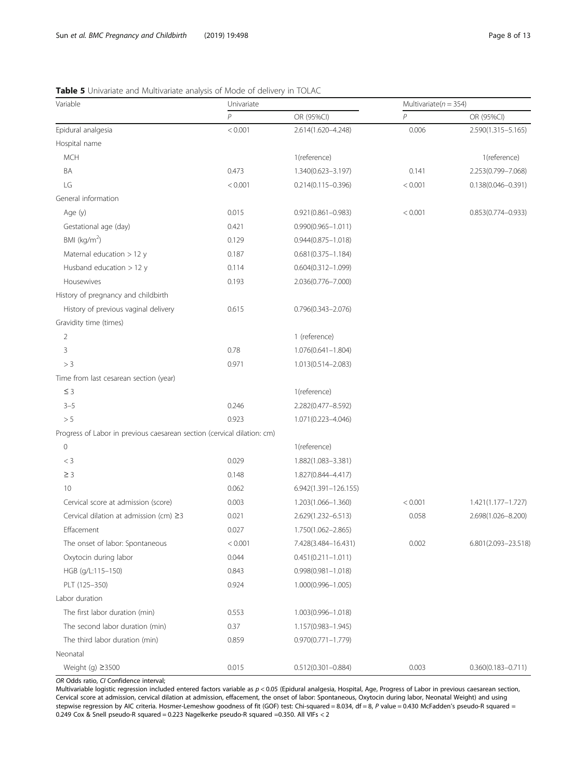<span id="page-7-0"></span>

| <b>Table 5</b> Univariate and Multivariate analysis of Mode of delivery in TOLAC |  |
|----------------------------------------------------------------------------------|--|
|----------------------------------------------------------------------------------|--|

| Variable                                                                | Univariate     |                          | Multivariate( $n = 354$ ) |                        |  |
|-------------------------------------------------------------------------|----------------|--------------------------|---------------------------|------------------------|--|
|                                                                         | $\overline{P}$ | OR (95%CI)               | $\overline{P}$            | OR (95%CI)             |  |
| Epidural analgesia                                                      | < 0.001        | 2.614(1.620-4.248)       | 0.006                     | 2.590(1.315-5.165)     |  |
| Hospital name                                                           |                |                          |                           |                        |  |
| <b>MCH</b>                                                              |                | 1(reference)             |                           | 1(reference)           |  |
| BA                                                                      | 0.473          | 1.340(0.623-3.197)       | 0.141                     | 2.253(0.799-7.068)     |  |
| LG                                                                      | < 0.001        | $0.214(0.115 - 0.396)$   | < 0.001                   | $0.138(0.046 - 0.391)$ |  |
| General information                                                     |                |                          |                           |                        |  |
| Age (y)                                                                 | 0.015          | $0.921(0.861 - 0.983)$   | < 0.001                   | $0.853(0.774 - 0.933)$ |  |
| Gestational age (day)                                                   | 0.421          | $0.990(0.965 - 1.011)$   |                           |                        |  |
| BMI ( $kg/m2$ )                                                         | 0.129          | $0.944(0.875 - 1.018)$   |                           |                        |  |
| Maternal education > 12 y                                               | 0.187          | $0.681(0.375 - 1.184)$   |                           |                        |  |
| Husband education $> 12$ y                                              | 0.114          | $0.604(0.312 - 1.099)$   |                           |                        |  |
| Housewives                                                              | 0.193          | 2.036(0.776-7.000)       |                           |                        |  |
| History of pregnancy and childbirth                                     |                |                          |                           |                        |  |
| History of previous vaginal delivery                                    | 0.615          | $0.796(0.343 - 2.076)$   |                           |                        |  |
| Gravidity time (times)                                                  |                |                          |                           |                        |  |
| 2                                                                       |                | 1 (reference)            |                           |                        |  |
| 3                                                                       | 0.78           | $1.076(0.641 - 1.804)$   |                           |                        |  |
| > 3                                                                     | 0.971          | 1.013(0.514-2.083)       |                           |                        |  |
| Time from last cesarean section (year)                                  |                |                          |                           |                        |  |
| $\leq$ 3                                                                |                | 1(reference)             |                           |                        |  |
| $3 - 5$                                                                 | 0.246          | 2.282(0.477-8.592)       |                           |                        |  |
| > 5                                                                     | 0.923          | 1.071(0.223-4.046)       |                           |                        |  |
| Progress of Labor in previous caesarean section (cervical dilation: cm) |                |                          |                           |                        |  |
| $\mathsf{O}\xspace$                                                     |                | 1(reference)             |                           |                        |  |
| $<$ 3                                                                   | 0.029          | 1.882(1.083-3.381)       |                           |                        |  |
| $\geq$ 3                                                                | 0.148          | 1.827(0.844-4.417)       |                           |                        |  |
| 10                                                                      | 0.062          | $6.942(1.391 - 126.155)$ |                           |                        |  |
| Cervical score at admission (score)                                     | 0.003          | 1.203(1.066-1.360)       | < 0.001                   | 1.421(1.177-1.727)     |  |
| Cervical dilation at admission (cm) $\geq$ 3                            | 0.021          | 2.629(1.232-6.513)       | 0.058                     | 2.698(1.026-8.200)     |  |
| Effacement                                                              | 0.027          | 1.750(1.062-2.865)       |                           |                        |  |
| The onset of labor: Spontaneous                                         | < 0.001        | 7.428(3.484-16.431)      | 0.002                     | 6.801(2.093-23.518)    |  |
| Oxytocin during labor                                                   | 0.044          | $0.451(0.211 - 1.011)$   |                           |                        |  |
| HGB (g/L:115-150)                                                       | 0.843          | $0.998(0.981 - 1.018)$   |                           |                        |  |
| PLT (125-350)                                                           | 0.924          | $1.000(0.996 - 1.005)$   |                           |                        |  |
| Labor duration                                                          |                |                          |                           |                        |  |
| The first labor duration (min)                                          | 0.553          | 1.003(0.996-1.018)       |                           |                        |  |
| The second labor duration (min)                                         | 0.37           | 1.157(0.983-1.945)       |                           |                        |  |
| The third labor duration (min)                                          | 0.859          | $0.970(0.771 - 1.779)$   |                           |                        |  |
| Neonatal                                                                |                |                          |                           |                        |  |
| Weight (g) ≥3500                                                        | 0.015          | $0.512(0.301 - 0.884)$   | 0.003                     | $0.360(0.183 - 0.711)$ |  |

OR Odds ratio, CI Confidence interval;

Multivariable logistic regression included entered factors variable as p < 0.05 (Epidural analgesia, Hospital, Age, Progress of Labor in previous caesarean section, Cervical score at admission, cervical dilation at admission, effacement, the onset of labor: Spontaneous, Oxytocin during labor, Neonatal Weight) and using stepwise regression by AIC criteria. Hosmer-Lemeshow goodness of fit (GOF) test: Chi-squared = 8.034, df = 8, P value = 0.430 McFadden's pseudo-R squared = 0.249 Cox & Snell pseudo-R squared = 0.223 Nagelkerke pseudo-R squared =0.350. All VIFs < 2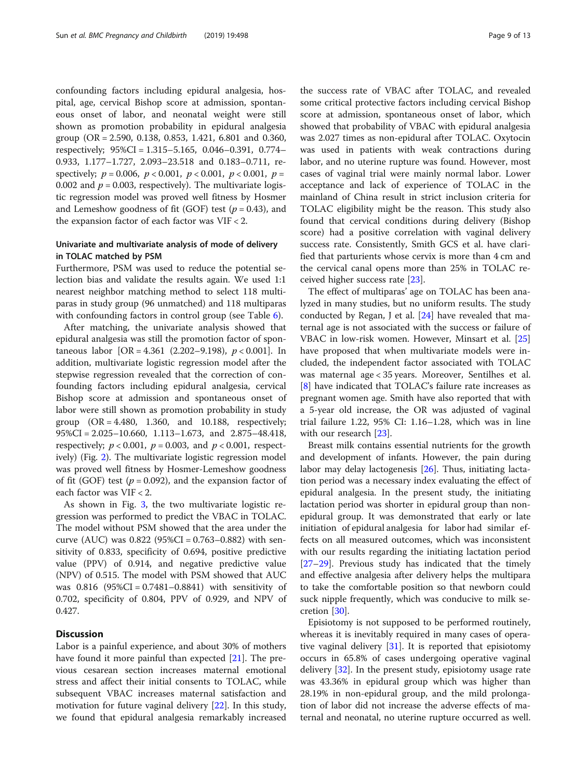confounding factors including epidural analgesia, hospital, age, cervical Bishop score at admission, spontaneous onset of labor, and neonatal weight were still shown as promotion probability in epidural analgesia group (OR = 2.590, 0.138, 0.853, 1.421, 6.801 and 0.360, respectively; 95%CI = 1.315–5.165, 0.046–0.391, 0.774– 0.933, 1.177–1.727, 2.093–23.518 and 0.183–0.711, respectively;  $p = 0.006$ ,  $p < 0.001$ ,  $p < 0.001$ ,  $p < 0.001$ ,  $p =$ 0.002 and  $p = 0.003$ , respectively). The multivariate logistic regression model was proved well fitness by Hosmer and Lemeshow goodness of fit (GOF) test ( $p = 0.43$ ), and the expansion factor of each factor was VIF < 2.

## Univariate and multivariate analysis of mode of delivery in TOLAC matched by PSM

Furthermore, PSM was used to reduce the potential selection bias and validate the results again. We used 1:1 nearest neighbor matching method to select 118 multiparas in study group (96 unmatched) and 118 multiparas with confounding factors in control group (see Table [6](#page-9-0)).

After matching, the univariate analysis showed that epidural analgesia was still the promotion factor of spontaneous labor  $[OR = 4.361 (2.202 - 9.198), p < 0.001]$ . In addition, multivariate logistic regression model after the stepwise regression revealed that the correction of confounding factors including epidural analgesia, cervical Bishop score at admission and spontaneous onset of labor were still shown as promotion probability in study group  $(OR = 4.480, 1.360, and 10.188, respectively;$ 95%CI = 2.025–10.660, 1.113–1.673, and 2.875–48.418, respectively;  $p < 0.001$ ,  $p = 0.003$ , and  $p < 0.001$ , respectively) (Fig. [2\)](#page-10-0). The multivariate logistic regression model was proved well fitness by Hosmer-Lemeshow goodness of fit (GOF) test ( $p = 0.092$ ), and the expansion factor of each factor was VIF < 2.

As shown in Fig. [3,](#page-10-0) the two multivariate logistic regression was performed to predict the VBAC in TOLAC. The model without PSM showed that the area under the curve (AUC) was  $0.822$  (95%CI = 0.763–0.882) with sensitivity of 0.833, specificity of 0.694, positive predictive value (PPV) of 0.914, and negative predictive value (NPV) of 0.515. The model with PSM showed that AUC was 0.816 (95%CI = 0.7481–0.8841) with sensitivity of 0.702, specificity of 0.804, PPV of 0.929, and NPV of 0.427.

## **Discussion**

Labor is a painful experience, and about 30% of mothers have found it more painful than expected [[21](#page-12-0)]. The previous cesarean section increases maternal emotional stress and affect their initial consents to TOLAC, while subsequent VBAC increases maternal satisfaction and motivation for future vaginal delivery [[22\]](#page-12-0). In this study, we found that epidural analgesia remarkably increased

the success rate of VBAC after TOLAC, and revealed some critical protective factors including cervical Bishop score at admission, spontaneous onset of labor, which showed that probability of VBAC with epidural analgesia was 2.027 times as non-epidural after TOLAC. Oxytocin was used in patients with weak contractions during labor, and no uterine rupture was found. However, most cases of vaginal trial were mainly normal labor. Lower acceptance and lack of experience of TOLAC in the mainland of China result in strict inclusion criteria for TOLAC eligibility might be the reason. This study also found that cervical conditions during delivery (Bishop score) had a positive correlation with vaginal delivery success rate. Consistently, Smith GCS et al. have clarified that parturients whose cervix is more than 4 cm and the cervical canal opens more than 25% in TOLAC received higher success rate [[23](#page-12-0)].

The effect of multiparas' age on TOLAC has been analyzed in many studies, but no uniform results. The study conducted by Regan, J et al. [\[24](#page-12-0)] have revealed that maternal age is not associated with the success or failure of VBAC in low-risk women. However, Minsart et al. [[25](#page-12-0)] have proposed that when multivariate models were included, the independent factor associated with TOLAC was maternal age < 35 years. Moreover, Sentilhes et al. [[8\]](#page-12-0) have indicated that TOLAC's failure rate increases as pregnant women age. Smith have also reported that with a 5-year old increase, the OR was adjusted of vaginal trial failure 1.22, 95% CI: 1.16–1.28, which was in line with our research [[23\]](#page-12-0).

Breast milk contains essential nutrients for the growth and development of infants. However, the pain during labor may delay lactogenesis [\[26\]](#page-12-0). Thus, initiating lactation period was a necessary index evaluating the effect of epidural analgesia. In the present study, the initiating lactation period was shorter in epidural group than nonepidural group. It was demonstrated that early or late initiation of epidural analgesia for labor had similar effects on all measured outcomes, which was inconsistent with our results regarding the initiating lactation period [[27](#page-12-0)–[29](#page-12-0)]. Previous study has indicated that the timely and effective analgesia after delivery helps the multipara to take the comfortable position so that newborn could suck nipple frequently, which was conducive to milk secretion [[30](#page-12-0)].

Episiotomy is not supposed to be performed routinely, whereas it is inevitably required in many cases of operative vaginal delivery [[31\]](#page-12-0). It is reported that episiotomy occurs in 65.8% of cases undergoing operative vaginal delivery [[32\]](#page-12-0). In the present study, episiotomy usage rate was 43.36% in epidural group which was higher than 28.19% in non-epidural group, and the mild prolongation of labor did not increase the adverse effects of maternal and neonatal, no uterine rupture occurred as well.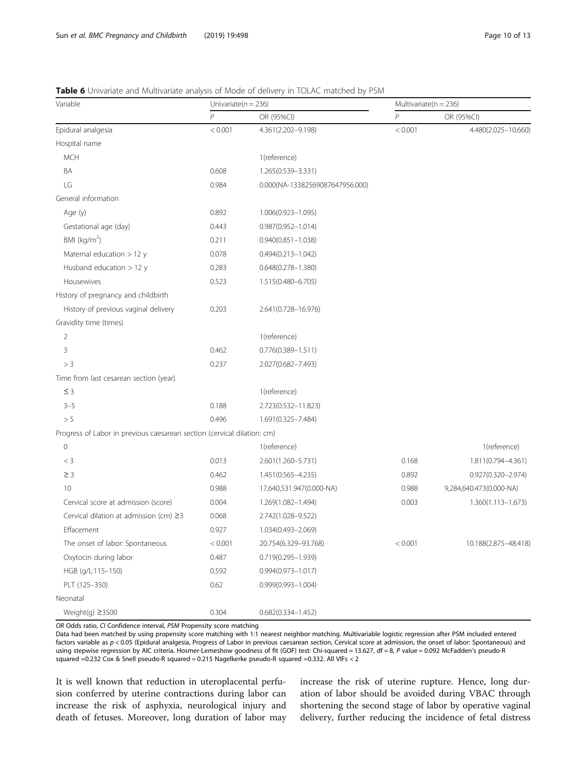| Variable                                                                | Univariate( $n = 236$ ) |                                 | Multivariate( $n = 236$ ) |                         |  |
|-------------------------------------------------------------------------|-------------------------|---------------------------------|---------------------------|-------------------------|--|
|                                                                         | $\overline{P}$          | OR (95%CI)                      | $\mathsf{P}$              | OR (95%CI)              |  |
| Epidural analgesia                                                      | < 0.001                 | 4.361(2.202-9.198)              | < 0.001                   | 4.480(2.025-10.660)     |  |
| Hospital name                                                           |                         |                                 |                           |                         |  |
| <b>MCH</b>                                                              |                         | 1(reference)                    |                           |                         |  |
| BA                                                                      | 0.608                   | 1.265(0.539-3.331)              |                           |                         |  |
| LG                                                                      | 0.984                   | 0.000(NA-13382569087647956.000) |                           |                         |  |
| General information                                                     |                         |                                 |                           |                         |  |
| Age (y)                                                                 | 0.892                   | 1.006(0.923-1.095)              |                           |                         |  |
| Gestational age (day)                                                   | 0.443                   | $0.987(0.952 - 1.014)$          |                           |                         |  |
| BMI ( $kg/m2$ )                                                         | 0.211                   | $0.940(0.851 - 1.038)$          |                           |                         |  |
| Maternal education > 12 y                                               | 0.078                   | $0.494(0.213 - 1.042)$          |                           |                         |  |
| Husband education $> 12$ y                                              | 0.283                   | $0.648(0.278 - 1.380)$          |                           |                         |  |
| Housewives                                                              | 0.523                   | 1.515(0.480-6.705)              |                           |                         |  |
| History of pregnancy and childbirth                                     |                         |                                 |                           |                         |  |
| History of previous vaginal delivery                                    | 0.203                   | 2.641(0.728-16.976)             |                           |                         |  |
| Gravidity time (times)                                                  |                         |                                 |                           |                         |  |
| 2                                                                       |                         | 1(reference)                    |                           |                         |  |
| 3                                                                       | 0.462                   | $0.776(0.389 - 1.511)$          |                           |                         |  |
| > 3                                                                     | 0.237                   | 2.027(0.682-7.493)              |                           |                         |  |
| Time from last cesarean section (year)                                  |                         |                                 |                           |                         |  |
| $\leq$ 3                                                                |                         | 1(reference)                    |                           |                         |  |
| $3 - 5$                                                                 | 0.188                   | 2.723(0.532-11.823)             |                           |                         |  |
| > 5                                                                     | 0.496                   | 1.691(0.325-7.484)              |                           |                         |  |
| Progress of Labor in previous caesarean section (cervical dilation: cm) |                         |                                 |                           |                         |  |
| $\mathbf 0$                                                             |                         | 1(reference)                    |                           | 1(reference)            |  |
| $<$ 3                                                                   | 0.013                   | 2.601(1.260-5.731)              | 0.168                     | 1.811(0.794-4.361)      |  |
| $\geq$ 3                                                                | 0.462                   | 1.451(0.565-4.235)              | 0.892                     | $0.927(0.320 - 2.974)$  |  |
| 10                                                                      | 0.988                   | 17,640,531.947(0.000-NA)        | 0.988                     | 9,284,640.473(0.000-NA) |  |
| Cervical score at admission (score)                                     | 0.004                   | 1.269(1.082-1.494)              | 0.003                     | $1.360(1.113 - 1.673)$  |  |
| Cervical dilation at admission (cm) $\geq$ 3                            | 0.068                   | 2.742(1.028-9.522)              |                           |                         |  |
| Effacement                                                              | 0.927                   | 1.034(0.493-2.069)              |                           |                         |  |
| The onset of labor: Spontaneous                                         | < 0.001                 | 20.754(6.329-93.768)            | < 0.001                   | 10.188(2.875-48.418)    |  |
| Oxytocin during labor                                                   | 0.487                   | 0.719(0.295-1.939)              |                           |                         |  |
| HGB (g/L:115-150)                                                       | 0.592                   | $0.994(0.973 - 1.017)$          |                           |                         |  |
| PLT (125-350)                                                           | 0.62                    | $0.999(0.993 - 1.004)$          |                           |                         |  |
| Neonatal                                                                |                         |                                 |                           |                         |  |
| Weight(g) $\geq$ 3500                                                   | 0.304                   | $0.682(0.334 - 1.452)$          |                           |                         |  |

## <span id="page-9-0"></span>Table 6 Univariate and Multivariate analysis of Mode of delivery in TOLAC matched by PSM

OR Odds ratio, CI Confidence interval, PSM Propensity score matching

Data had been matched by using propensity score matching with 1:1 nearest neighbor matching. Multivariable logistic regression after PSM included entered factors variable as  $p < 0.05$  (Epidural analgesia, Progress of Labor in previous caesarean section, Cervical score at admission, the onset of labor: Spontaneous) and using stepwise regression by AIC criteria. Hosmer-Lemeshow goodness of fit (GOF) test: Chi-squared = 13.627, df = 8, P value = 0.092 McFadden's pseudo-R squared =0.232 Cox & Snell pseudo-R squared = 0.215 Nagelkerke pseudo-R squared =0.332. All VIFs < 2

It is well known that reduction in uteroplacental perfusion conferred by uterine contractions during labor can increase the risk of asphyxia, neurological injury and death of fetuses. Moreover, long duration of labor may increase the risk of uterine rupture. Hence, long duration of labor should be avoided during VBAC through shortening the second stage of labor by operative vaginal delivery, further reducing the incidence of fetal distress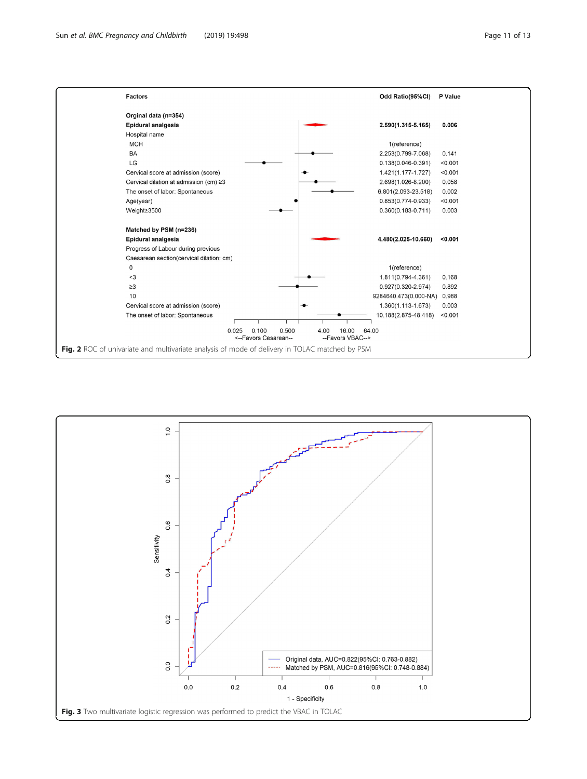<span id="page-10-0"></span>

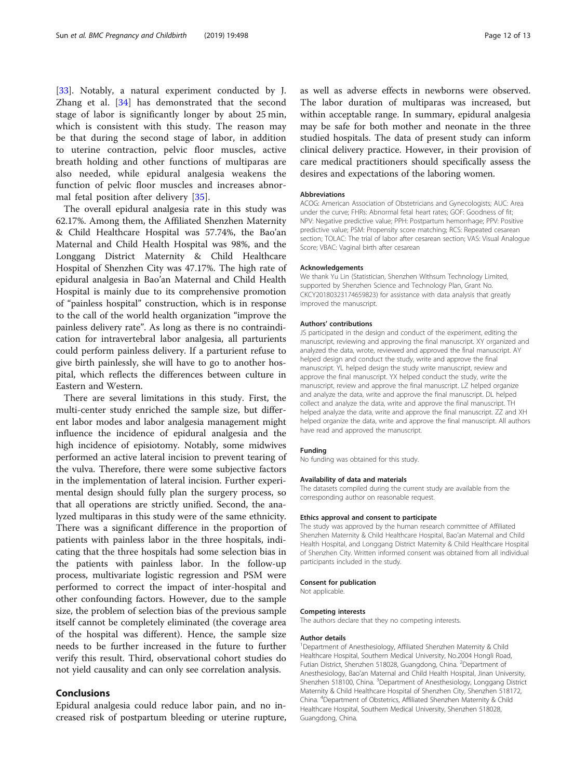[[33\]](#page-12-0). Notably, a natural experiment conducted by J. Zhang et al. [\[34](#page-12-0)] has demonstrated that the second stage of labor is significantly longer by about 25 min, which is consistent with this study. The reason may be that during the second stage of labor, in addition to uterine contraction, pelvic floor muscles, active breath holding and other functions of multiparas are also needed, while epidural analgesia weakens the function of pelvic floor muscles and increases abnormal fetal position after delivery [[35\]](#page-12-0).

The overall epidural analgesia rate in this study was 62.17%. Among them, the Affiliated Shenzhen Maternity & Child Healthcare Hospital was 57.74%, the Bao'an Maternal and Child Health Hospital was 98%, and the Longgang District Maternity & Child Healthcare Hospital of Shenzhen City was 47.17%. The high rate of epidural analgesia in Bao'an Maternal and Child Health Hospital is mainly due to its comprehensive promotion of "painless hospital" construction, which is in response to the call of the world health organization "improve the painless delivery rate". As long as there is no contraindication for intravertebral labor analgesia, all parturients could perform painless delivery. If a parturient refuse to give birth painlessly, she will have to go to another hospital, which reflects the differences between culture in Eastern and Western.

There are several limitations in this study. First, the multi-center study enriched the sample size, but different labor modes and labor analgesia management might influence the incidence of epidural analgesia and the high incidence of episiotomy. Notably, some midwives performed an active lateral incision to prevent tearing of the vulva. Therefore, there were some subjective factors in the implementation of lateral incision. Further experimental design should fully plan the surgery process, so that all operations are strictly unified. Second, the analyzed multiparas in this study were of the same ethnicity. There was a significant difference in the proportion of patients with painless labor in the three hospitals, indicating that the three hospitals had some selection bias in the patients with painless labor. In the follow-up process, multivariate logistic regression and PSM were performed to correct the impact of inter-hospital and other confounding factors. However, due to the sample size, the problem of selection bias of the previous sample itself cannot be completely eliminated (the coverage area of the hospital was different). Hence, the sample size needs to be further increased in the future to further verify this result. Third, observational cohort studies do not yield causality and can only see correlation analysis.

## Conclusions

Epidural analgesia could reduce labor pain, and no increased risk of postpartum bleeding or uterine rupture, as well as adverse effects in newborns were observed. The labor duration of multiparas was increased, but within acceptable range. In summary, epidural analgesia may be safe for both mother and neonate in the three studied hospitals. The data of present study can inform clinical delivery practice. However, in their provision of care medical practitioners should specifically assess the desires and expectations of the laboring women.

#### Abbreviations

ACOG: American Association of Obstetricians and Gynecologists; AUC: Area under the curve; FHRs: Abnormal fetal heart rates; GOF: Goodness of fit; NPV: Negative predictive value; PPH: Postpartum hemorrhage; PPV: Positive predictive value; PSM: Propensity score matching; RCS: Repeated cesarean section; TOLAC: The trial of labor after cesarean section; VAS: Visual Analogue Score; VBAC: Vaginal birth after cesarean

#### Acknowledgements

We thank Yu Lin (Statistician, Shenzhen Withsum Technology Limited, supported by Shenzhen Science and Technology Plan, Grant No. CKCY20180323174659823) for assistance with data analysis that greatly improved the manuscript.

#### Authors' contributions

JS participated in the design and conduct of the experiment, editing the manuscript, reviewing and approving the final manuscript. XY organized and analyzed the data, wrote, reviewed and approved the final manuscript. AY helped design and conduct the study, write and approve the final manuscript. YL helped design the study write manuscript, review and approve the final manuscript. YX helped conduct the study, write the manuscript, review and approve the final manuscript. LZ helped organize and analyze the data, write and approve the final manuscript. DL helped collect and analyze the data, write and approve the final manuscript. TH helped analyze the data, write and approve the final manuscript. ZZ and XH helped organize the data, write and approve the final manuscript. All authors have read and approved the manuscript.

#### Funding

No funding was obtained for this study.

#### Availability of data and materials

The datasets compiled during the current study are available from the corresponding author on reasonable request.

#### Ethics approval and consent to participate

The study was approved by the human research committee of Affiliated Shenzhen Maternity & Child Healthcare Hospital, Bao'an Maternal and Child Health Hospital, and Longgang District Maternity & Child Healthcare Hospital of Shenzhen City. Written informed consent was obtained from all individual participants included in the study.

#### Consent for publication

Not applicable.

#### Competing interests

The authors declare that they no competing interests.

#### Author details

<sup>1</sup>Department of Anesthesiology, Affiliated Shenzhen Maternity & Child Healthcare Hospital, Southern Medical University, No.2004 Hongli Road, Futian District, Shenzhen 518028, Guangdong, China. <sup>2</sup>Department of Anesthesiology, Bao'an Maternal and Child Health Hospital, Jinan University, Shenzhen 518100, China. <sup>3</sup>Department of Anesthesiology, Longgang District Maternity & Child Healthcare Hospital of Shenzhen City, Shenzhen 518172, China. <sup>4</sup> Department of Obstetrics, Affiliated Shenzhen Maternity & Child Healthcare Hospital, Southern Medical University, Shenzhen 518028, Guangdong, China.